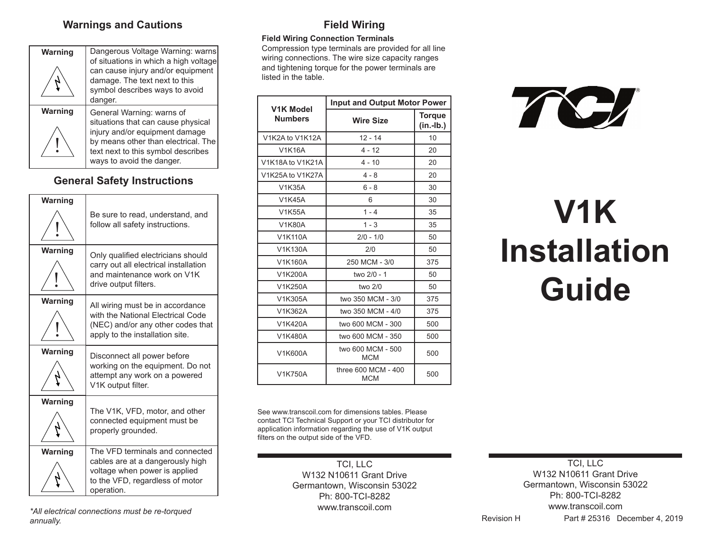### **Warnings and Cautions**

| Warning | Dangerous Voltage Warning: warns<br>of situations in which a high voltage<br>can cause injury and/or equipment                           |
|---------|------------------------------------------------------------------------------------------------------------------------------------------|
|         | damage. The text next to this<br>symbol describes ways to avoid<br>danger.                                                               |
| Warning | General Warning: warns of<br>situations that can cause physical                                                                          |
|         | injury and/or equipment damage<br>by means other than electrical. The<br>text next to this symbol describes<br>ways to avoid the danger. |

## **General Safety Instructions**

| Warning |                                                                                                                                                       |
|---------|-------------------------------------------------------------------------------------------------------------------------------------------------------|
|         | Be sure to read, understand, and<br>follow all safety instructions.                                                                                   |
| Warning | Only qualified electricians should<br>carry out all electrical installation<br>and maintenance work on V1K<br>drive output filters.                   |
| Warning | All wiring must be in accordance<br>with the National Electrical Code<br>(NEC) and/or any other codes that<br>apply to the installation site.         |
| Warning | Disconnect all power before<br>working on the equipment. Do not<br>attempt any work on a powered<br>V1K output filter.                                |
| Warning | The V1K, VFD, motor, and other<br>connected equipment must be<br>properly grounded.                                                                   |
| Warning | The VFD terminals and connected<br>cables are at a dangerously high<br>voltage when power is applied<br>to the VFD, regardless of motor<br>operation. |
|         |                                                                                                                                                       |

## **Field Wiring**

#### **Field Wiring Connection Terminals**

Compression type terminals are provided for all line wiring connections. The wire size capacity ranges and tightening torque for the power terminals are listed in the table.

| <b>V1K Model</b> | <b>Input and Output Motor Power</b> |                              |  |
|------------------|-------------------------------------|------------------------------|--|
| <b>Numbers</b>   | <b>Wire Size</b>                    | <b>Torgue</b><br>$(in.-lb.)$ |  |
| V1K2A to V1K12A  | $12 - 14$                           | 10                           |  |
| <b>V1K16A</b>    | 4 - 12                              | 20                           |  |
| V1K18A to V1K21A | $4 - 10$                            | 20                           |  |
| V1K25A to V1K27A | $4 - 8$                             | 20                           |  |
| <b>V1K35A</b>    | $6 - 8$                             | 30                           |  |
| <b>V1K45A</b>    | 6                                   | 30                           |  |
| V1K55A           | $1 - 4$                             | 35                           |  |
| <b>V1K80A</b>    | $1 - 3$                             | 35                           |  |
| V1K110A          | $2/0 - 1/0$                         | 50                           |  |
| V1K130A          | 2/0                                 | 50                           |  |
| V1K160A          | 250 MCM - 3/0                       | 375                          |  |
| V1K200A          | two 2/0 - 1                         | 50                           |  |
| V1K250A          | two 2/0                             | 50                           |  |
| V1K305A          | two 350 MCM - 3/0                   | 375                          |  |
| V1K362A          | two 350 MCM - 4/0                   | 375                          |  |
| V1K420A          | two 600 MCM - 300                   | 500                          |  |
| V1K480A          | two 600 MCM - 350                   | 500                          |  |
| V1K600A          | two 600 MCM - 500<br><b>MCM</b>     | 500                          |  |
| V1K750A          | three 600 MCM - 400<br><b>MCM</b>   | 500                          |  |

See www.transcoil.com for dimensions tables. Please contact TCI Technical Support or your TCI distributor for application information regarding the use of V1K output filters on the output side of the VFD.

> TCI, LLC W132 N10611 Grant Drive Germantown, Wisconsin 53022 Ph: 800-TCI-8282 www.transcoil.com



# **V1K Installation Guide**

*\*All electrical connections must be re-torqued annually.*

TCI, LLC W132 N10611 Grant Drive Germantown, Wisconsin 53022 Ph: 800-TCI-8282 www.transcoil.com

Revision H Part # 25316 December 4, 2019